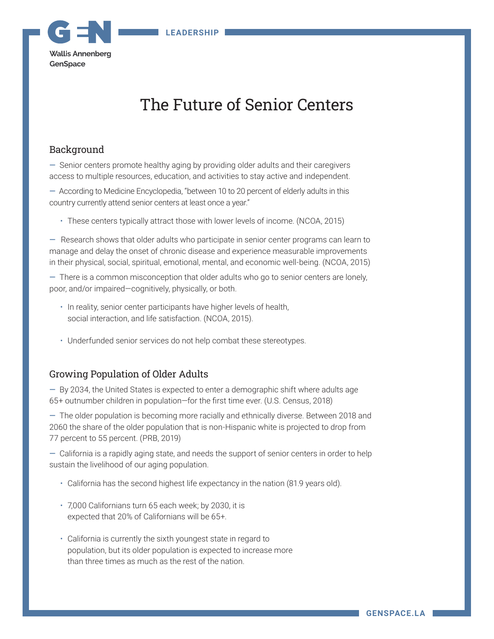

# The Future of Senior Centers

## Background

— Senior centers promote healthy aging by providing older adults and their caregivers access to multiple resources, education, and activities to stay active and independent.

— According to Medicine Encyclopedia, "between 10 to 20 percent of elderly adults in this country currently attend senior centers at least once a year."

• These centers typically attract those with lower levels of income. (NCOA, 2015)

— Research shows that older adults who participate in senior center programs can learn to manage and delay the onset of chronic disease and experience measurable improvements in their physical, social, spiritual, emotional, mental, and economic well-being. (NCOA, 2015)

— There is a common misconception that older adults who go to senior centers are lonely, poor, and/or impaired—cognitively, physically, or both.

- In reality, senior center participants have higher levels of health, social interaction, and life satisfaction. (NCOA, 2015).
- Underfunded senior services do not help combat these stereotypes.

## Growing Population of Older Adults

— By 2034, the United States is expected to enter a demographic shift where adults age 65+ outnumber children in population—for the first time ever. (U.S. Census, 2018)

— The older population is becoming more racially and ethnically diverse. Between 2018 and 2060 the share of the older population that is non-Hispanic white is projected to drop from 77 percent to 55 percent. (PRB, 2019)

— California is a rapidly aging state, and needs the support of senior centers in order to help sustain the livelihood of our aging population.

- California has the second highest life expectancy in the nation (81.9 years old).
- 7,000 Californians turn 65 each week; by 2030, it is expected that 20% of Californians will be 65+.
- California is currently the sixth youngest state in regard to population, but its older population is expected to increase more than three times as much as the rest of the nation.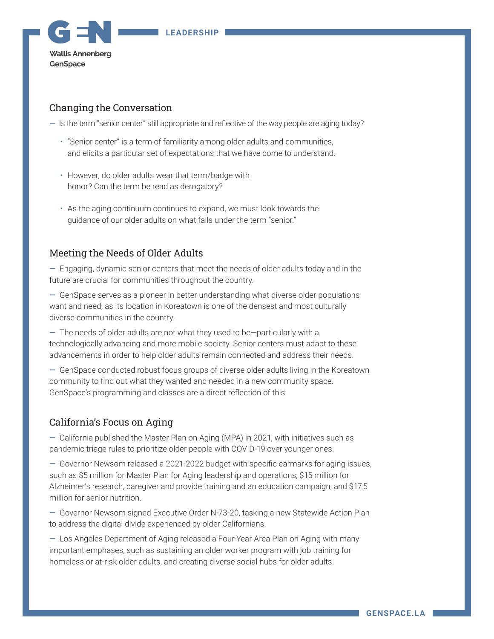**LEADERSHIP**



## Changing the Conversation

— Is the term "senior center" still appropriate and reflective of the way people are aging today?

- "Senior center" is a term of familiarity among older adults and communities, and elicits a particular set of expectations that we have come to understand.
- However, do older adults wear that term/badge with honor? Can the term be read as derogatory?
- As the aging continuum continues to expand, we must look towards the guidance of our older adults on what falls under the term "senior."

## Meeting the Needs of Older Adults

— Engaging, dynamic senior centers that meet the needs of older adults today and in the future are crucial for communities throughout the country.

— GenSpace serves as a pioneer in better understanding what diverse older populations want and need, as its location in Koreatown is one of the densest and most culturally diverse communities in the country.

— The needs of older adults are not what they used to be—particularly with a technologically advancing and more mobile society. Senior centers must adapt to these advancements in order to help older adults remain connected and address their needs.

— GenSpace conducted robust focus groups of diverse older adults living in the Koreatown community to find out what they wanted and needed in a new community space. GenSpace's programming and classes are a direct reflection of this.

## California's Focus on Aging

— California published the Master Plan on Aging (MPA) in 2021, with initiatives such as pandemic triage rules to prioritize older people with COVID-19 over younger ones.

— Governor Newsom released a 2021-2022 budget with specific earmarks for aging issues, such as \$5 million for Master Plan for Aging leadership and operations; \$15 million for Alzheimer's research, caregiver and provide training and an education campaign; and \$17.5 million for senior nutrition.

— Governor Newsom signed Executive Order N-73-20, tasking a new Statewide Action Plan to address the digital divide experienced by older Californians.

— Los Angeles Department of Aging released a Four-Year Area Plan on Aging with many important emphases, such as sustaining an older worker program with job training for homeless or at-risk older adults, and creating diverse social hubs for older adults.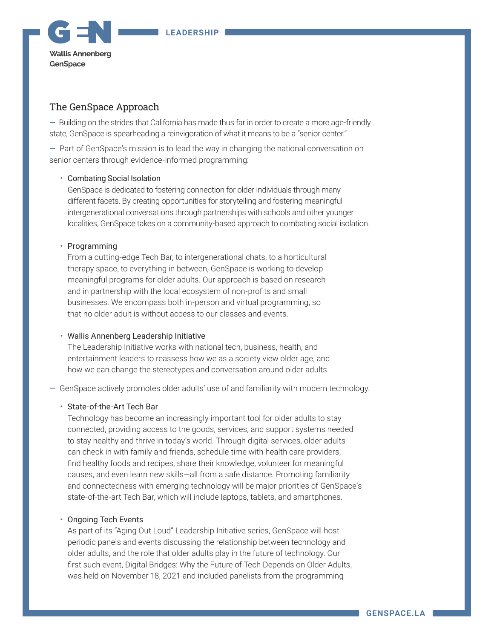

## The GenSpace Approach

— Building on the strides that California has made thus far in order to create a more age-friendly state, GenSpace is spearheading a reinvigoration of what it means to be a "senior center."

— Part of GenSpace's mission is to lead the way in changing the national conversation on senior centers through evidence-informed programming:

### • Combating Social Isolation

GenSpace is dedicated to fostering connection for older individuals through many different facets. By creating opportunities for storytelling and fostering meaningful intergenerational conversations through partnerships with schools and other younger localities, GenSpace takes on a community-based approach to combating social isolation.

#### • Programming

From a cutting-edge Tech Bar, to intergenerational chats, to a horticultural therapy space, to everything in between, GenSpace is working to develop meaningful programs for older adults. Our approach is based on research and in partnership with the local ecosystem of non-profits and small businesses. We encompass both in-person and virtual programming, so that no older adult is without access to our classes and events.

#### • Wallis Annenberg Leadership Initiative

The Leadership Initiative works with national tech, business, health, and entertainment leaders to reassess how we as a society view older age, and how we can change the stereotypes and conversation around older adults.

— GenSpace actively promotes older adults' use of and familiarity with modern technology.

#### • State-of-the-Art Tech Bar

Technology has become an increasingly important tool for older adults to stay connected, providing access to the goods, services, and support systems needed to stay healthy and thrive in today's world. Through digital services, older adults can check in with family and friends, schedule time with health care providers, find healthy foods and recipes, share their knowledge, volunteer for meaningful causes, and even learn new skills—all from a safe distance. Promoting familiarity and connectedness with emerging technology will be major priorities of GenSpace's state-of-the-art Tech Bar, which will include laptops, tablets, and smartphones.

#### • Ongoing Tech Events

As part of its "Aging Out Loud" Leadership Initiative series, GenSpace will host periodic panels and events discussing the relationship between technology and older adults, and the role that older adults play in the future of technology. Our first such event, Digital Bridges: Why the Future of Tech Depends on Older Adults, was held on November 18, 2021 and included panelists from the programming